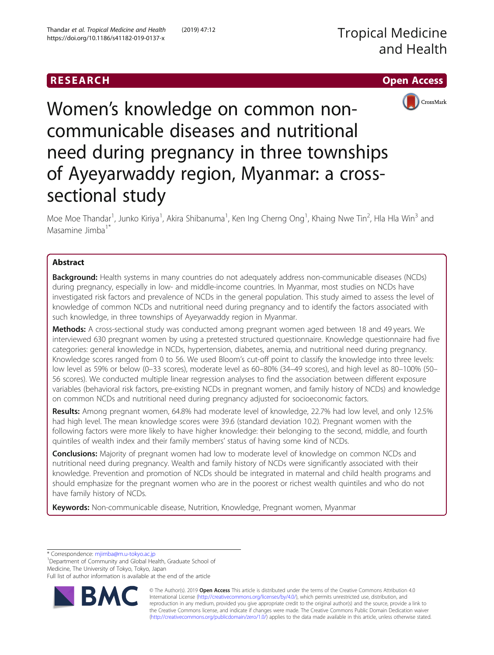# RESEARCH **RESEARCH CHOOSE ACCESS**



Women's knowledge on common noncommunicable diseases and nutritional need during pregnancy in three townships of Ayeyarwaddy region, Myanmar: a crosssectional study

Moe Moe Thandar<sup>1</sup>, Junko Kiriya<sup>1</sup>, Akira Shibanuma<sup>1</sup>, Ken Ing Cherng Ong<sup>1</sup>, Khaing Nwe Tin<sup>2</sup>, Hla Hla Win<sup>3</sup> and Masamine Jimba<sup>1\*</sup>

# Abstract

**Background:** Health systems in many countries do not adequately address non-communicable diseases (NCDs) during pregnancy, especially in low- and middle-income countries. In Myanmar, most studies on NCDs have investigated risk factors and prevalence of NCDs in the general population. This study aimed to assess the level of knowledge of common NCDs and nutritional need during pregnancy and to identify the factors associated with such knowledge, in three townships of Ayeyarwaddy region in Myanmar.

Methods: A cross-sectional study was conducted among pregnant women aged between 18 and 49 years. We interviewed 630 pregnant women by using a pretested structured questionnaire. Knowledge questionnaire had five categories: general knowledge in NCDs, hypertension, diabetes, anemia, and nutritional need during pregnancy. Knowledge scores ranged from 0 to 56. We used Bloom's cut-off point to classify the knowledge into three levels: low level as 59% or below (0–33 scores), moderate level as 60–80% (34–49 scores), and high level as 80–100% (50– 56 scores). We conducted multiple linear regression analyses to find the association between different exposure variables (behavioral risk factors, pre-existing NCDs in pregnant women, and family history of NCDs) and knowledge on common NCDs and nutritional need during pregnancy adjusted for socioeconomic factors.

Results: Among pregnant women, 64.8% had moderate level of knowledge, 22.7% had low level, and only 12.5% had high level. The mean knowledge scores were 39.6 (standard deviation 10.2). Pregnant women with the following factors were more likely to have higher knowledge: their belonging to the second, middle, and fourth quintiles of wealth index and their family members' status of having some kind of NCDs.

**Conclusions:** Majority of pregnant women had low to moderate level of knowledge on common NCDs and nutritional need during pregnancy. Wealth and family history of NCDs were significantly associated with their knowledge. Prevention and promotion of NCDs should be integrated in maternal and child health programs and should emphasize for the pregnant women who are in the poorest or richest wealth quintiles and who do not have family history of NCDs.

Keywords: Non-communicable disease, Nutrition, Knowledge, Pregnant women, Myanmar

\* Correspondence: [mjimba@m.u-tokyo.ac.jp](mailto:mjimba@m.u-tokyo.ac.jp) <sup>1</sup>

<sup>1</sup>Department of Community and Global Health, Graduate School of Medicine, The University of Tokyo, Tokyo, Japan

Full list of author information is available at the end of the article



© The Author(s). 2019 Open Access This article is distributed under the terms of the Creative Commons Attribution 4.0 International License [\(http://creativecommons.org/licenses/by/4.0/](http://creativecommons.org/licenses/by/4.0/)), which permits unrestricted use, distribution, and reproduction in any medium, provided you give appropriate credit to the original author(s) and the source, provide a link to the Creative Commons license, and indicate if changes were made. The Creative Commons Public Domain Dedication waiver [\(http://creativecommons.org/publicdomain/zero/1.0/](http://creativecommons.org/publicdomain/zero/1.0/)) applies to the data made available in this article, unless otherwise stated.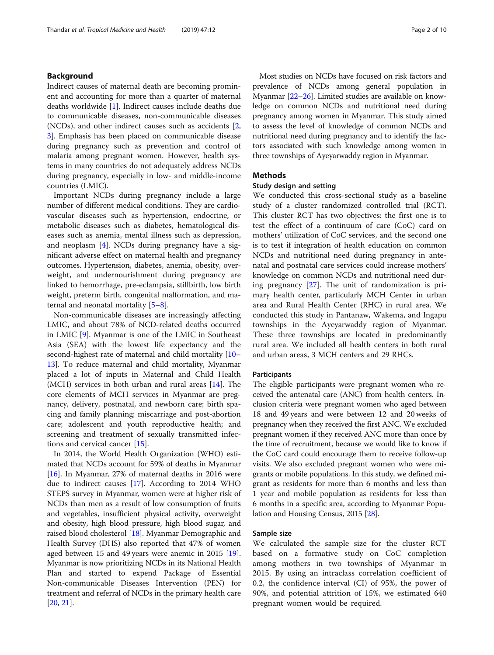# Background

Indirect causes of maternal death are becoming prominent and accounting for more than a quarter of maternal deaths worldwide [[1\]](#page-8-0). Indirect causes include deaths due to communicable diseases, non-communicable diseases (NCDs), and other indirect causes such as accidents [\[2](#page-8-0), [3\]](#page-8-0). Emphasis has been placed on communicable disease during pregnancy such as prevention and control of malaria among pregnant women. However, health systems in many countries do not adequately address NCDs during pregnancy, especially in low- and middle-income countries (LMIC).

Important NCDs during pregnancy include a large number of different medical conditions. They are cardiovascular diseases such as hypertension, endocrine, or metabolic diseases such as diabetes, hematological diseases such as anemia, mental illness such as depression, and neoplasm [[4\]](#page-8-0). NCDs during pregnancy have a significant adverse effect on maternal health and pregnancy outcomes. Hypertension, diabetes, anemia, obesity, overweight, and undernourishment during pregnancy are linked to hemorrhage, pre-eclampsia, stillbirth, low birth weight, preterm birth, congenital malformation, and maternal and neonatal mortality [\[5](#page-8-0)–[8](#page-8-0)].

Non-communicable diseases are increasingly affecting LMIC, and about 78% of NCD-related deaths occurred in LMIC [\[9](#page-8-0)]. Myanmar is one of the LMIC in Southeast Asia (SEA) with the lowest life expectancy and the second-highest rate of maternal and child mortality [[10](#page-8-0)– [13\]](#page-8-0). To reduce maternal and child mortality, Myanmar placed a lot of inputs in Maternal and Child Health (MCH) services in both urban and rural areas [[14](#page-8-0)]. The core elements of MCH services in Myanmar are pregnancy, delivery, postnatal, and newborn care; birth spacing and family planning; miscarriage and post-abortion care; adolescent and youth reproductive health; and screening and treatment of sexually transmitted infections and cervical cancer [[15](#page-8-0)].

In 2014, the World Health Organization (WHO) estimated that NCDs account for 59% of deaths in Myanmar [[16\]](#page-8-0). In Myanmar, 27% of maternal deaths in 2016 were due to indirect causes [\[17](#page-9-0)]. According to 2014 WHO STEPS survey in Myanmar, women were at higher risk of NCDs than men as a result of low consumption of fruits and vegetables, insufficient physical activity, overweight and obesity, high blood pressure, high blood sugar, and raised blood cholesterol [[18](#page-9-0)]. Myanmar Demographic and Health Survey (DHS) also reported that 47% of women aged between 15 and 49 years were anemic in 2015 [[19](#page-9-0)]. Myanmar is now prioritizing NCDs in its National Health Plan and started to expend Package of Essential Non-communicable Diseases Intervention (PEN) for treatment and referral of NCDs in the primary health care [[20,](#page-9-0) [21](#page-9-0)].

Most studies on NCDs have focused on risk factors and prevalence of NCDs among general population in Myanmar [[22](#page-9-0)–[26\]](#page-9-0). Limited studies are available on knowledge on common NCDs and nutritional need during pregnancy among women in Myanmar. This study aimed to assess the level of knowledge of common NCDs and nutritional need during pregnancy and to identify the factors associated with such knowledge among women in three townships of Ayeyarwaddy region in Myanmar.

### Methods

# Study design and setting

We conducted this cross-sectional study as a baseline study of a cluster randomized controlled trial (RCT). This cluster RCT has two objectives: the first one is to test the effect of a continuum of care (CoC) card on mothers' utilization of CoC services, and the second one is to test if integration of health education on common NCDs and nutritional need during pregnancy in antenatal and postnatal care services could increase mothers' knowledge on common NCDs and nutritional need during pregnancy [\[27](#page-9-0)]. The unit of randomization is primary health center, particularly MCH Center in urban area and Rural Health Center (RHC) in rural area. We conducted this study in Pantanaw, Wakema, and Ingapu townships in the Ayeyarwaddy region of Myanmar. These three townships are located in predominantly rural area. We included all health centers in both rural and urban areas, 3 MCH centers and 29 RHCs.

# Participants

The eligible participants were pregnant women who received the antenatal care (ANC) from health centers. Inclusion criteria were pregnant women who aged between 18 and 49 years and were between 12 and 20 weeks of pregnancy when they received the first ANC. We excluded pregnant women if they received ANC more than once by the time of recruitment, because we would like to know if the CoC card could encourage them to receive follow-up visits. We also excluded pregnant women who were migrants or mobile populations. In this study, we defined migrant as residents for more than 6 months and less than 1 year and mobile population as residents for less than 6 months in a specific area, according to Myanmar Population and Housing Census, 2015 [[28](#page-9-0)].

#### Sample size

We calculated the sample size for the cluster RCT based on a formative study on CoC completion among mothers in two townships of Myanmar in 2015. By using an intraclass correlation coefficient of 0.2, the confidence interval (CI) of 95%, the power of 90%, and potential attrition of 15%, we estimated 640 pregnant women would be required.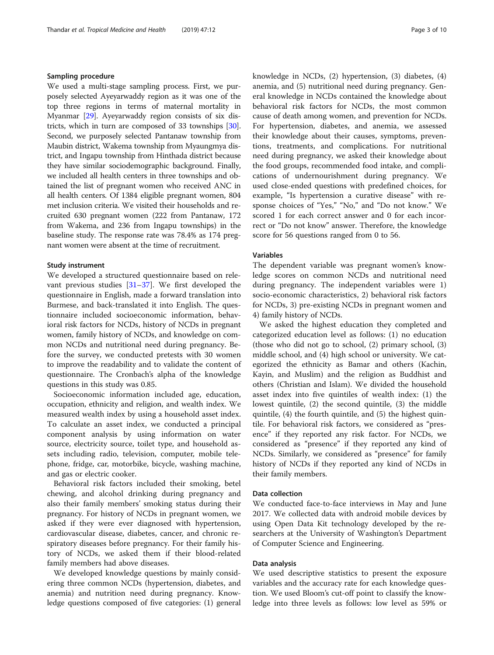#### Sampling procedure

We used a multi-stage sampling process. First, we purposely selected Ayeyarwaddy region as it was one of the top three regions in terms of maternal mortality in Myanmar [\[29](#page-9-0)]. Ayeyarwaddy region consists of six districts, which in turn are composed of 33 townships [[30](#page-9-0)]. Second, we purposely selected Pantanaw township from Maubin district, Wakema township from Myaungmya district, and Ingapu township from Hinthada district because they have similar sociodemographic background. Finally, we included all health centers in three townships and obtained the list of pregnant women who received ANC in all health centers. Of 1384 eligible pregnant women, 804 met inclusion criteria. We visited their households and recruited 630 pregnant women (222 from Pantanaw, 172 from Wakema, and 236 from Ingapu townships) in the baseline study. The response rate was 78.4% as 174 pregnant women were absent at the time of recruitment.

# Study instrument

We developed a structured questionnaire based on relevant previous studies [\[31](#page-9-0)–[37\]](#page-9-0). We first developed the questionnaire in English, made a forward translation into Burmese, and back-translated it into English. The questionnaire included socioeconomic information, behavioral risk factors for NCDs, history of NCDs in pregnant women, family history of NCDs, and knowledge on common NCDs and nutritional need during pregnancy. Before the survey, we conducted pretests with 30 women to improve the readability and to validate the content of questionnaire. The Cronbach's alpha of the knowledge questions in this study was 0.85.

Socioeconomic information included age, education, occupation, ethnicity and religion, and wealth index. We measured wealth index by using a household asset index. To calculate an asset index, we conducted a principal component analysis by using information on water source, electricity source, toilet type, and household assets including radio, television, computer, mobile telephone, fridge, car, motorbike, bicycle, washing machine, and gas or electric cooker.

Behavioral risk factors included their smoking, betel chewing, and alcohol drinking during pregnancy and also their family members' smoking status during their pregnancy. For history of NCDs in pregnant women, we asked if they were ever diagnosed with hypertension, cardiovascular disease, diabetes, cancer, and chronic respiratory diseases before pregnancy. For their family history of NCDs, we asked them if their blood-related family members had above diseases.

We developed knowledge questions by mainly considering three common NCDs (hypertension, diabetes, and anemia) and nutrition need during pregnancy. Knowledge questions composed of five categories: (1) general knowledge in NCDs, (2) hypertension, (3) diabetes, (4) anemia, and (5) nutritional need during pregnancy. General knowledge in NCDs contained the knowledge about behavioral risk factors for NCDs, the most common cause of death among women, and prevention for NCDs. For hypertension, diabetes, and anemia, we assessed their knowledge about their causes, symptoms, preventions, treatments, and complications. For nutritional need during pregnancy, we asked their knowledge about the food groups, recommended food intake, and complications of undernourishment during pregnancy. We used close-ended questions with predefined choices, for example, "Is hypertension a curative disease" with response choices of "Yes," "No," and "Do not know." We scored 1 for each correct answer and 0 for each incorrect or "Do not know" answer. Therefore, the knowledge score for 56 questions ranged from 0 to 56.

#### Variables

The dependent variable was pregnant women's knowledge scores on common NCDs and nutritional need during pregnancy. The independent variables were 1) socio-economic characteristics, 2) behavioral risk factors for NCDs, 3) pre-existing NCDs in pregnant women and 4) family history of NCDs.

We asked the highest education they completed and categorized education level as follows: (1) no education (those who did not go to school, (2) primary school, (3) middle school, and (4) high school or university. We categorized the ethnicity as Bamar and others (Kachin, Kayin, and Muslim) and the religion as Buddhist and others (Christian and Islam). We divided the household asset index into five quintiles of wealth index: (1) the lowest quintile, (2) the second quintile, (3) the middle quintile, (4) the fourth quintile, and (5) the highest quintile. For behavioral risk factors, we considered as "presence" if they reported any risk factor. For NCDs, we considered as "presence" if they reported any kind of NCDs. Similarly, we considered as "presence" for family history of NCDs if they reported any kind of NCDs in their family members.

# Data collection

We conducted face-to-face interviews in May and June 2017. We collected data with android mobile devices by using Open Data Kit technology developed by the researchers at the University of Washington's Department of Computer Science and Engineering.

# Data analysis

We used descriptive statistics to present the exposure variables and the accuracy rate for each knowledge question. We used Bloom's cut-off point to classify the knowledge into three levels as follows: low level as 59% or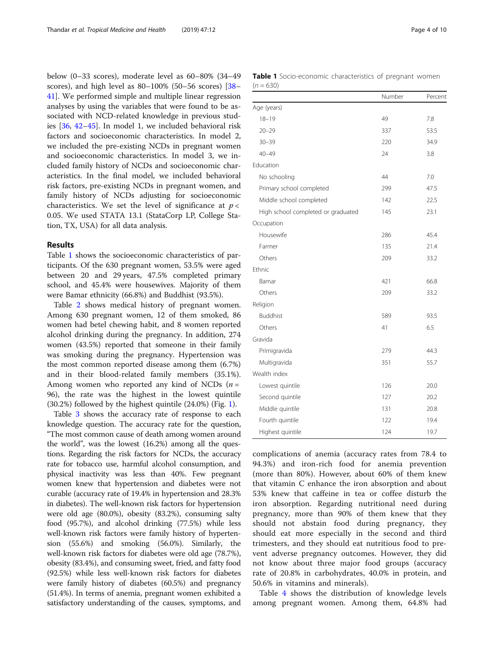below (0–33 scores), moderate level as 60–80% (34–49 scores), and high level as 80–100% (50–56 scores) [[38](#page-9-0)– [41\]](#page-9-0). We performed simple and multiple linear regression analyses by using the variables that were found to be associated with NCD-related knowledge in previous studies [\[36](#page-9-0), [42](#page-9-0)–[45](#page-9-0)]. In model 1, we included behavioral risk factors and socioeconomic characteristics. In model 2, we included the pre-existing NCDs in pregnant women and socioeconomic characteristics. In model 3, we included family history of NCDs and socioeconomic characteristics. In the final model, we included behavioral risk factors, pre-existing NCDs in pregnant women, and family history of NCDs adjusting for socioeconomic characteristics. We set the level of significance at  $p <$ 0.05. We used STATA 13.1 (StataCorp LP, College Station, TX, USA) for all data analysis.

# Results

Table 1 shows the socioeconomic characteristics of participants. Of the 630 pregnant women, 53.5% were aged between 20 and 29 years, 47.5% completed primary school, and 45.4% were housewives. Majority of them were Bamar ethnicity (66.8%) and Buddhist (93.5%).

Table [2](#page-4-0) shows medical history of pregnant women. Among 630 pregnant women, 12 of them smoked, 86 women had betel chewing habit, and 8 women reported alcohol drinking during the pregnancy. In addition, 274 women (43.5%) reported that someone in their family was smoking during the pregnancy. Hypertension was the most common reported disease among them (6.7%) and in their blood-related family members (35.1%). Among women who reported any kind of NCDs  $(n =$ 96), the rate was the highest in the lowest quintile (30.2%) followed by the highest quintile (24.0%) (Fig. [1](#page-4-0)).

Table [3](#page-5-0) shows the accuracy rate of response to each knowledge question. The accuracy rate for the question, "The most common cause of death among women around the world", was the lowest (16.2%) among all the questions. Regarding the risk factors for NCDs, the accuracy rate for tobacco use, harmful alcohol consumption, and physical inactivity was less than 40%. Few pregnant women knew that hypertension and diabetes were not curable (accuracy rate of 19.4% in hypertension and 28.3% in diabetes). The well-known risk factors for hypertension were old age (80.0%), obesity (83.2%), consuming salty food (95.7%), and alcohol drinking (77.5%) while less well-known risk factors were family history of hypertension (55.6%) and smoking (56.0%). Similarly, the well-known risk factors for diabetes were old age (78.7%), obesity (83.4%), and consuming sweet, fried, and fatty food (92.5%) while less well-known risk factors for diabetes were family history of diabetes (60.5%) and pregnancy (51.4%). In terms of anemia, pregnant women exhibited a satisfactory understanding of the causes, symptoms, and

|             | Table 1 Socio-economic characteristics of pregnant women |  |  |
|-------------|----------------------------------------------------------|--|--|
| $(n = 630)$ |                                                          |  |  |

|                                    | Number | Percent |
|------------------------------------|--------|---------|
| Age (years)                        |        |         |
| $18 - 19$                          | 49     | 7.8     |
| $20 - 29$                          | 337    | 53.5    |
| $30 - 39$                          | 220    | 34.9    |
| $40 - 49$                          | 24     | 3.8     |
| Education                          |        |         |
| No schooling                       | 44     | 7.0     |
| Primary school completed           | 299    | 47.5    |
| Middle school completed            | 142    | 22.5    |
| High school completed or graduated | 145    | 23.1    |
| Occupation                         |        |         |
| Housewife                          | 286    | 45.4    |
| Farmer                             | 135    | 21.4    |
| Others                             | 209    | 33.2    |
| Ethnic                             |        |         |
| Bamar                              | 421    | 66.8    |
| Others                             | 209    | 33.2    |
| Religion                           |        |         |
| <b>Buddhist</b>                    | 589    | 93.5    |
| Others                             | 41     | 6.5     |
| Gravida                            |        |         |
| Primigravida                       | 279    | 44.3    |
| Multigravida                       | 351    | 55.7    |
| Wealth index                       |        |         |
| Lowest quintile                    | 126    | 20.0    |
| Second quintile                    | 127    | 20.2    |
| Middle quintile                    | 131    | 20.8    |
| Fourth quintile                    | 122    | 19.4    |
| Highest quintile                   | 124    | 19.7    |

complications of anemia (accuracy rates from 78.4 to 94.3%) and iron-rich food for anemia prevention (more than 80%). However, about 60% of them knew that vitamin C enhance the iron absorption and about 53% knew that caffeine in tea or coffee disturb the iron absorption. Regarding nutritional need during pregnancy, more than 90% of them knew that they should not abstain food during pregnancy, they should eat more especially in the second and third trimesters, and they should eat nutritious food to prevent adverse pregnancy outcomes. However, they did not know about three major food groups (accuracy rate of 20.8% in carbohydrates, 40.0% in protein, and 50.6% in vitamins and minerals).

Table [4](#page-6-0) shows the distribution of knowledge levels among pregnant women. Among them, 64.8% had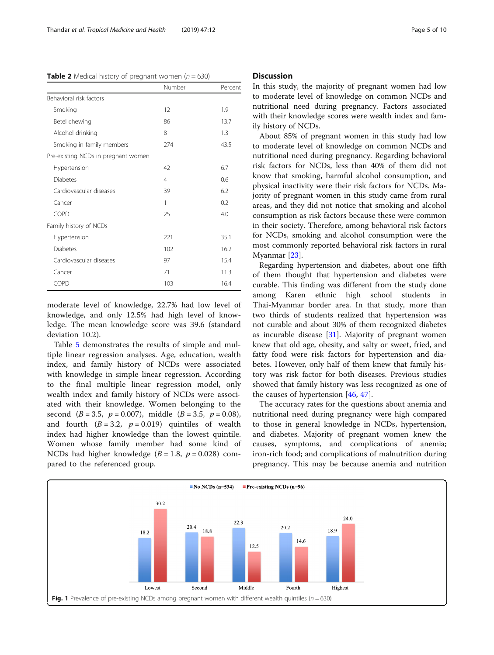<span id="page-4-0"></span>**Table 2** Medical history of pregnant women ( $n = 630$ )

|                                     | Number | Percent |
|-------------------------------------|--------|---------|
| Behavioral risk factors             |        |         |
| Smoking                             | 12     | 1.9     |
| Betel chewing                       | 86     | 13.7    |
| Alcohol drinking                    | 8      | 1.3     |
| Smoking in family members           | 274    | 43.5    |
| Pre-existing NCDs in pregnant women |        |         |
| Hypertension                        | 42     | 6.7     |
| <b>Diabetes</b>                     | 4      | 0.6     |
| Cardiovascular diseases             | 39     | 6.2     |
| Cancer                              | 1      | 0.2     |
| COPD                                | 25     | 4.0     |
| Family history of NCDs              |        |         |
| Hypertension                        | 221    | 35.1    |
| <b>Diabetes</b>                     | 102    | 16.2    |
| Cardiovascular diseases             | 97     | 15.4    |
| Cancer                              | 71     | 11.3    |
| <b>COPD</b>                         | 103    | 16.4    |

moderate level of knowledge, 22.7% had low level of knowledge, and only 12.5% had high level of knowledge. The mean knowledge score was 39.6 (standard deviation 10.2).

Table [5](#page-7-0) demonstrates the results of simple and multiple linear regression analyses. Age, education, wealth index, and family history of NCDs were associated with knowledge in simple linear regression. According to the final multiple linear regression model, only wealth index and family history of NCDs were associated with their knowledge. Women belonging to the second  $(B = 3.5, p = 0.007)$ , middle  $(B = 3.5, p = 0.08)$ , and fourth  $(B = 3.2, p = 0.019)$  quintiles of wealth index had higher knowledge than the lowest quintile. Women whose family member had some kind of NCDs had higher knowledge  $(B = 1.8, p = 0.028)$  compared to the referenced group.

### **Discussion**

In this study, the majority of pregnant women had low to moderate level of knowledge on common NCDs and nutritional need during pregnancy. Factors associated with their knowledge scores were wealth index and family history of NCDs.

About 85% of pregnant women in this study had low to moderate level of knowledge on common NCDs and nutritional need during pregnancy. Regarding behavioral risk factors for NCDs, less than 40% of them did not know that smoking, harmful alcohol consumption, and physical inactivity were their risk factors for NCDs. Majority of pregnant women in this study came from rural areas, and they did not notice that smoking and alcohol consumption as risk factors because these were common in their society. Therefore, among behavioral risk factors for NCDs, smoking and alcohol consumption were the most commonly reported behavioral risk factors in rural Myanmar [\[23](#page-9-0)].

Regarding hypertension and diabetes, about one fifth of them thought that hypertension and diabetes were curable. This finding was different from the study done among Karen ethnic high school students in Thai-Myanmar border area. In that study, more than two thirds of students realized that hypertension was not curable and about 30% of them recognized diabetes as incurable disease  $[31]$ . Majority of pregnant women knew that old age, obesity, and salty or sweet, fried, and fatty food were risk factors for hypertension and diabetes. However, only half of them knew that family history was risk factor for both diseases. Previous studies showed that family history was less recognized as one of the causes of hypertension [[46,](#page-9-0) [47](#page-9-0)].

The accuracy rates for the questions about anemia and nutritional need during pregnancy were high compared to those in general knowledge in NCDs, hypertension, and diabetes. Majority of pregnant women knew the causes, symptoms, and complications of anemia; iron-rich food; and complications of malnutrition during pregnancy. This may be because anemia and nutrition

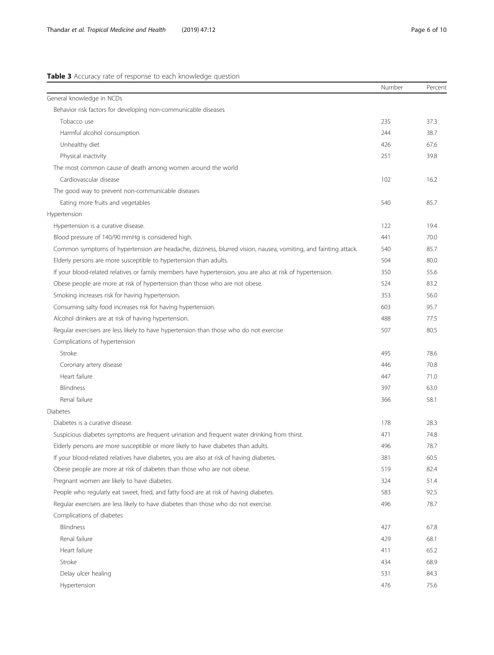# <span id="page-5-0"></span>Table 3 Accuracy rate of response to each knowledge question

|                                                                                                                 | Number | Percent |
|-----------------------------------------------------------------------------------------------------------------|--------|---------|
| General knowledge in NCDs                                                                                       |        |         |
| Behavior risk factors for developing non-communicable diseases                                                  |        |         |
| Tobacco use                                                                                                     | 235    | 37.3    |
| Harmful alcohol consumption                                                                                     | 244    | 38.7    |
| Unhealthy diet                                                                                                  | 426    | 67.6    |
| Physical inactivity                                                                                             | 251    | 39.8    |
| The most common cause of death among women around the world                                                     |        |         |
| Cardiovascular disease                                                                                          | 102    | 16.2    |
| The good way to prevent non-communicable diseases                                                               |        |         |
| Eating more fruits and vegetables                                                                               | 540    | 85.7    |
| Hypertension                                                                                                    |        |         |
| Hypertension is a curative disease.                                                                             | 122    | 19.4    |
| Blood pressure of 140/90 mmHg is considered high.                                                               | 441    | 70.0    |
| Common symptoms of hypertension are headache, dizziness, blurred vision, nausea, vomiting, and fainting attack. | 540    | 85.7    |
| Elderly persons are more susceptible to hypertension than adults.                                               | 504    | 80.0    |
| If your blood-related relatives or family members have hypertension, you are also at risk of hypertension.      | 350    | 55.6    |
| Obese people are more at risk of hypertension than those who are not obese.                                     | 524    | 83.2    |
| Smoking increases risk for having hypertension.                                                                 | 353    | 56.0    |
| Consuming salty food increases risk for having hypertension.                                                    | 603    | 95.7    |
| Alcohol drinkers are at risk of having hypertension.                                                            | 488    | 77.5    |
| Regular exercisers are less likely to have hypertension than those who do not exercise                          | 507    | 80.5    |
| Complications of hypertension                                                                                   |        |         |
| Stroke                                                                                                          | 495    | 78.6    |
| Coronary artery disease                                                                                         | 446    | 70.8    |
| Heart failure                                                                                                   | 447    | 71.0    |
| Blindness                                                                                                       | 397    | 63.0    |
| Renal failure                                                                                                   | 366    | 58.1    |
| <b>Diabetes</b>                                                                                                 |        |         |
| Diabetes is a curative disease.                                                                                 | 178    | 28.3    |
| Suspicious diabetes symptoms are frequent urination and frequent water drinking from thirst.                    | 471    | 74.8    |
| Elderly persons are more susceptible or more likely to have diabetes than adults.                               | 496    | 78.7    |
| If your blood-related relatives have diabetes, you are also at risk of having diabetes.                         | 381    | 60.5    |
| Obese people are more at risk of diabetes than those who are not obese.                                         | 519    | 82.4    |
| Pregnant women are likely to have diabetes.                                                                     | 324    | 51.4    |
| People who regularly eat sweet, fried, and fatty food are at risk of having diabetes.                           | 583    | 92.5    |
| Regular exercisers are less likely to have diabetes than those who do not exercise.                             | 496    | 78.7    |
| Complications of diabetes                                                                                       |        |         |
| Blindness                                                                                                       | 427    | 67.8    |
| Renal failure                                                                                                   | 429    | 68.1    |
| Heart failure                                                                                                   | 411    | 65.2    |
| Stroke                                                                                                          | 434    | 68.9    |
| Delay ulcer healing                                                                                             | 531    | 84.3    |
| Hypertension                                                                                                    | 476    | 75.6    |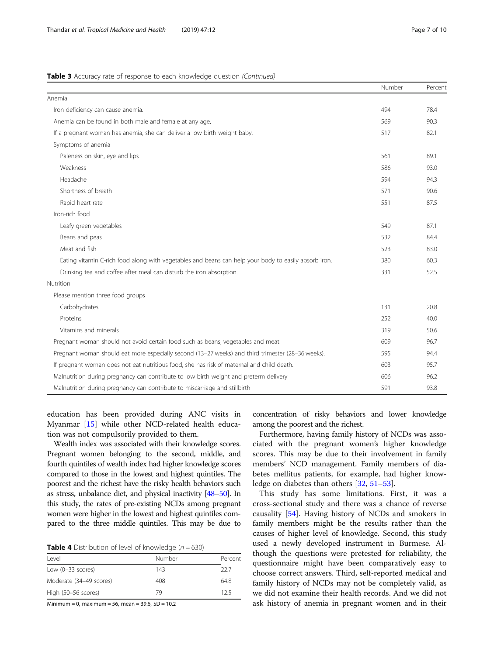# <span id="page-6-0"></span>Table 3 Accuracy rate of response to each knowledge question (Continued)

|                                                                                                      | Number | Percent |
|------------------------------------------------------------------------------------------------------|--------|---------|
| Anemia                                                                                               |        |         |
| Iron deficiency can cause anemia.                                                                    | 494    | 78.4    |
| Anemia can be found in both male and female at any age.                                              | 569    | 90.3    |
| If a pregnant woman has anemia, she can deliver a low birth weight baby.                             | 517    | 82.1    |
| Symptoms of anemia                                                                                   |        |         |
| Paleness on skin, eye and lips                                                                       | 561    | 89.1    |
| Weakness                                                                                             | 586    | 93.0    |
| Headache                                                                                             | 594    | 94.3    |
| Shortness of breath                                                                                  | 571    | 90.6    |
| Rapid heart rate                                                                                     | 551    | 87.5    |
| Iron-rich food                                                                                       |        |         |
| Leafy green vegetables                                                                               | 549    | 87.1    |
| Beans and peas                                                                                       | 532    | 84.4    |
| Meat and fish                                                                                        | 523    | 83.0    |
| Eating vitamin C-rich food along with vegetables and beans can help your body to easily absorb iron. | 380    | 60.3    |
| Drinking tea and coffee after meal can disturb the iron absorption.                                  | 331    | 52.5    |
| Nutrition                                                                                            |        |         |
| Please mention three food groups                                                                     |        |         |
| Carbohydrates                                                                                        | 131    | 20.8    |
| Proteins                                                                                             | 252    | 40.0    |
| Vitamins and minerals                                                                                | 319    | 50.6    |
| Pregnant woman should not avoid certain food such as beans, vegetables and meat.                     | 609    | 96.7    |
| Pregnant woman should eat more especially second (13-27 weeks) and third trimester (28-36 weeks).    | 595    | 94.4    |
| If pregnant woman does not eat nutritious food, she has risk of maternal and child death.            | 603    | 95.7    |
| Malnutrition during pregnancy can contribute to low birth weight and preterm delivery                | 606    | 96.2    |
| Malnutrition during pregnancy can contribute to miscarriage and stillbirth                           | 591    | 93.8    |

education has been provided during ANC visits in Myanmar [\[15](#page-8-0)] while other NCD-related health education was not compulsorily provided to them.

Wealth index was associated with their knowledge scores. Pregnant women belonging to the second, middle, and fourth quintiles of wealth index had higher knowledge scores compared to those in the lowest and highest quintiles. The poorest and the richest have the risky health behaviors such as stress, unbalance diet, and physical inactivity [[48](#page-9-0)–[50\]](#page-9-0). In this study, the rates of pre-existing NCDs among pregnant women were higher in the lowest and highest quintiles compared to the three middle quintiles. This may be due to

**Table 4** Distribution of level of knowledge ( $n = 630$ )

| l evel                  | Number | Percent |
|-------------------------|--------|---------|
| Low $(0-33$ scores)     | 143    | 22.7    |
| Moderate (34-49 scores) | 408    | 648     |
| High (50-56 scores)     | 79     | 125     |

 $Minimum = 0$ , maximum = 56, mean = 39.6, SD = 10.2

concentration of risky behaviors and lower knowledge among the poorest and the richest.

Furthermore, having family history of NCDs was associated with the pregnant women's higher knowledge scores. This may be due to their involvement in family members' NCD management. Family members of diabetes mellitus patients, for example, had higher knowledge on diabetes than others [\[32](#page-9-0), [51](#page-9-0)–[53\]](#page-9-0).

This study has some limitations. First, it was a cross-sectional study and there was a chance of reverse causality [\[54\]](#page-9-0). Having history of NCDs and smokers in family members might be the results rather than the causes of higher level of knowledge. Second, this study used a newly developed instrument in Burmese. Although the questions were pretested for reliability, the questionnaire might have been comparatively easy to choose correct answers. Third, self-reported medical and family history of NCDs may not be completely valid, as we did not examine their health records. And we did not ask history of anemia in pregnant women and in their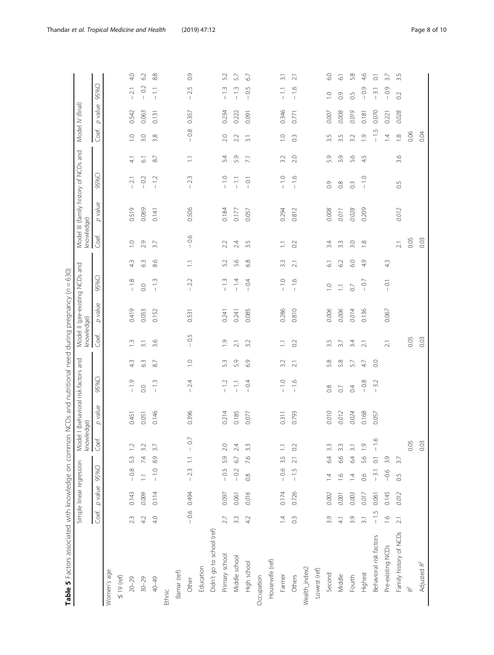| )                                                                                             |                          |
|-----------------------------------------------------------------------------------------------|--------------------------|
| j.                                                                                            |                          |
|                                                                                               |                          |
| ī                                                                                             |                          |
|                                                                                               |                          |
| $\ddot{\phantom{a}}$                                                                          |                          |
|                                                                                               | $\overline{\phantom{a}}$ |
|                                                                                               |                          |
|                                                                                               |                          |
|                                                                                               |                          |
|                                                                                               |                          |
|                                                                                               |                          |
| is a set<br>֦֦֦֖֪ׅ֪֦֪ׅ֪ׅ֪֪֪ׅ֪֪ׅ֪֪ׅ֪֪֪֪֪֪֪֪֪֪ׅ֧֚֚֚֚֚֚֚֚֚֚֚֚֚֚֚֚֚֚֚֚֚֡֡֡֬֘֡֡֡֬֝֬֝֓֡֡֬֓֡֬֓֓֞֬֓֞֬ |                          |
|                                                                                               |                          |
|                                                                                               |                          |
| .<br>ג<br>¢                                                                                   | ה<br>ו                   |
| i                                                                                             |                          |
|                                                                                               |                          |
|                                                                                               | $\overline{ }$           |
|                                                                                               |                          |
|                                                                                               |                          |
| ļ                                                                                             |                          |
|                                                                                               |                          |
| ׇ֘֒                                                                                           |                          |
|                                                                                               |                          |
|                                                                                               |                          |
|                                                                                               |                          |
|                                                                                               |                          |
| j                                                                                             |                          |
|                                                                                               |                          |
|                                                                                               |                          |
|                                                                                               |                          |
|                                                                                               |                          |
|                                                                                               |                          |
|                                                                                               |                          |
|                                                                                               |                          |
|                                                                                               |                          |
|                                                                                               |                          |
|                                                                                               |                          |
|                                                                                               |                          |
|                                                                                               |                          |
|                                                                                               |                          |
|                                                                                               |                          |
|                                                                                               |                          |
|                                                                                               |                          |
|                                                                                               |                          |
|                                                                                               |                          |
|                                                                                               |                          |
|                                                                                               |                          |
| ١                                                                                             |                          |
| Í                                                                                             |                          |
| ֖֖֖֦֧֦֧֪֦֧֦֧֦֧ׅ֪֪֪֦֪֪֪֦֪֪֦֚֚֚֚֚֬֝֝֝֝֬֜֝֬֝                                                     |                          |
|                                                                                               |                          |
|                                                                                               |                          |
|                                                                                               |                          |
|                                                                                               |                          |
|                                                                                               |                          |
|                                                                                               |                          |
|                                                                                               |                          |
|                                                                                               |                          |
|                                                                                               |                          |
|                                                                                               |                          |
|                                                                                               |                          |
|                                                                                               |                          |
|                                                                                               |                          |
|                                                                                               |                          |
| וא הא ההאמה הא                                                                                |                          |
|                                                                                               |                          |
|                                                                                               |                          |
|                                                                                               | j                        |
|                                                                                               |                          |
| ֖֖֖֖֚֚֚֚֚֚֚֬                                                                                  |                          |
|                                                                                               |                          |
|                                                                                               |                          |
|                                                                                               |                          |
|                                                                                               |                          |
|                                                                                               |                          |
|                                                                                               |                          |
|                                                                                               |                          |
|                                                                                               |                          |
|                                                                                               |                          |
|                                                                                               |                          |
|                                                                                               |                          |
|                                                                                               |                          |
|                                                                                               |                          |
| てい                                                                                            |                          |
|                                                                                               |                          |
|                                                                                               |                          |
|                                                                                               |                          |
|                                                                                               |                          |
|                                                                                               |                          |
|                                                                                               |                          |
|                                                                                               |                          |
|                                                                                               |                          |
|                                                                                               |                          |
| $\frac{1}{2}$                                                                                 |                          |
|                                                                                               |                          |
|                                                                                               |                          |
|                                                                                               |                          |
|                                                                                               |                          |
|                                                                                               |                          |
|                                                                                               |                          |
|                                                                                               |                          |
| Table 5 Facto                                                                                 |                          |
|                                                                                               |                          |
|                                                                                               |                          |
|                                                                                               |                          |
|                                                                                               |                          |
|                                                                                               |                          |
|                                                                                               |                          |
|                                                                                               |                          |

<span id="page-7-0"></span>

| 8.9<br>7.4<br>5.3<br>$\overline{\phantom{a}}$<br>Simple linear regression<br>95%CI<br>$-1.0$<br>$-0.8$<br>$-2.3$<br>$\Box$<br>p value<br>0.143<br>0.114<br>0.494<br>0.009<br>$-0.6$<br>Coef.<br>4.0<br>23<br>4.2<br>Didn't go to school (ref)<br>Education<br>Women's age<br>Bamar (ref)<br>$\leq 19$ (ref)<br>$20 - 29$<br>$30 - 29$<br>40-49<br>Other<br>Ethnic | knowledge)<br>Coef.<br>$-0.7$<br>$\tilde{c}$<br>3.2<br>37 | Model I (behavioral risk factors and<br>p value<br>0.146<br>0.451<br>0.051 | 95%CI                              |                 | knowledge)<br>Coef. | Model II (pre-existing NCDs | 95%CI                              | and            | knowledge)              | Model III (family history of NCDs and |                                            |                     |                          | Model IV (final) |                                                          |
|-------------------------------------------------------------------------------------------------------------------------------------------------------------------------------------------------------------------------------------------------------------------------------------------------------------------------------------------------------------------|-----------------------------------------------------------|----------------------------------------------------------------------------|------------------------------------|-----------------|---------------------|-----------------------------|------------------------------------|----------------|-------------------------|---------------------------------------|--------------------------------------------|---------------------|--------------------------|------------------|----------------------------------------------------------|
|                                                                                                                                                                                                                                                                                                                                                                   |                                                           |                                                                            |                                    |                 |                     |                             |                                    |                |                         |                                       |                                            |                     |                          |                  |                                                          |
|                                                                                                                                                                                                                                                                                                                                                                   |                                                           |                                                                            |                                    |                 |                     | p value                     |                                    |                | Coef.                   | value<br>$\sigma$                     | 95%CI                                      |                     | Coef.                    | value<br>p       | 95%CI                                                    |
|                                                                                                                                                                                                                                                                                                                                                                   |                                                           |                                                                            |                                    |                 |                     |                             |                                    |                |                         |                                       |                                            |                     |                          |                  |                                                          |
|                                                                                                                                                                                                                                                                                                                                                                   |                                                           |                                                                            |                                    |                 |                     |                             |                                    |                |                         |                                       |                                            |                     |                          |                  |                                                          |
|                                                                                                                                                                                                                                                                                                                                                                   |                                                           |                                                                            | $-1.9$                             | 4.3             | $\frac{1}{2}$       | 0.419                       | $-1.8$                             | 43             | $\overline{C}$          | 0.519                                 | $\overline{21}$                            | $\frac{1}{4}$       | $\supseteq$              | 0.542            | 4.0<br>$\overline{2.1}$                                  |
|                                                                                                                                                                                                                                                                                                                                                                   |                                                           |                                                                            | $\overline{0}$ .                   | 63              | $\overline{31}$     | 0.053                       | $\rm_{\rm CO}$                     | 63             | 2.9                     | 0.069                                 | $\overline{0}$<br>$\overline{\phantom{a}}$ | $\overline{\circ}$  | 3.0                      | 0.063            | 62<br>O.2<br>$\overline{\phantom{a}}$                    |
|                                                                                                                                                                                                                                                                                                                                                                   |                                                           |                                                                            | $-13$                              | $87\,$          | 3.6                 | 0.152                       | $-1.3$                             | 8.6            | $\overline{3}$          | 0.141                                 | $-12$                                      | $87\,$              | 3.8                      | 0.131            | 8.8<br>$\Xi$<br>$\overline{\phantom{a}}$                 |
|                                                                                                                                                                                                                                                                                                                                                                   |                                                           |                                                                            |                                    |                 |                     |                             |                                    |                |                         |                                       |                                            |                     |                          |                  |                                                          |
|                                                                                                                                                                                                                                                                                                                                                                   |                                                           |                                                                            |                                    |                 |                     |                             |                                    |                |                         |                                       |                                            |                     |                          |                  |                                                          |
|                                                                                                                                                                                                                                                                                                                                                                   |                                                           | 0.396                                                                      | 2.4                                | $\supseteq$     | $-0.5$              | 0.531                       | 2.2<br>$\overline{1}$              | Ξ              | 0.6<br>$\overline{1}$   | 0.506                                 | 23<br>$\mathbf{I}$                         | Ξ                   | 0.8<br>$\mathsf{I}$      | 0.357            | 0.9<br>2.5<br>$\overline{\phantom{a}}$                   |
|                                                                                                                                                                                                                                                                                                                                                                   |                                                           |                                                                            |                                    |                 |                     |                             |                                    |                |                         |                                       |                                            |                     |                          |                  |                                                          |
|                                                                                                                                                                                                                                                                                                                                                                   |                                                           |                                                                            |                                    |                 |                     |                             |                                    |                |                         |                                       |                                            |                     |                          |                  |                                                          |
| 5.9<br>$-0.5$<br>0.097<br>2.7<br>Primary school                                                                                                                                                                                                                                                                                                                   | 2.0                                                       | 0.214                                                                      | $-1.2$                             | 5.3             | $\overline{0}$      | 0.241                       | $-13$                              | 52             | 2.2                     | 0.184                                 | $-1.0$                                     | 5.4                 | 2.0                      | 0.234            | 5.2<br>$-1.3$                                            |
| 6.7<br>$-0.2$<br>0.061<br>$3.\overline{3}$<br>Middle school                                                                                                                                                                                                                                                                                                       | 2.4                                                       | 0.185                                                                      | $\overline{11}$                    | 5.9             | $\overline{2.1}$    | 0.241                       | $-1.4$                             | 56             | 2.4                     | 0.177                                 | $\Xi$                                      | 5.9                 | 2.2                      | 0.222            | 57<br>$-13$                                              |
| 7.6<br>$\frac{8}{2}$<br>0.016<br>42<br>High school                                                                                                                                                                                                                                                                                                                | 33                                                        | 0.077                                                                      | 0.4<br>$\overline{\phantom{a}}$    | 6.9             | 32                  | 0.085                       | $-0.4$                             | 6.8            | 3.5                     | 0.057                                 | $-0.1$                                     | $\overline{\Sigma}$ | $\overline{3}$ .         | 0.091            | 67<br>0.5<br>$\overline{1}$                              |
| Occupation                                                                                                                                                                                                                                                                                                                                                        |                                                           |                                                                            |                                    |                 |                     |                             |                                    |                |                         |                                       |                                            |                     |                          |                  |                                                          |
| Housewife (ref)                                                                                                                                                                                                                                                                                                                                                   |                                                           |                                                                            |                                    |                 |                     |                             |                                    |                |                         |                                       |                                            |                     |                          |                  |                                                          |
| 3.5<br>$-0.6$<br>0.174<br>$\overline{4}$<br>Farmer                                                                                                                                                                                                                                                                                                                | $\Xi$                                                     | 0.311                                                                      | $-1.0$                             | 3.2             | Ξ                   | 0.286                       | $-1.0$                             | 33             | Ξ                       | 0.294                                 | $-1.0$                                     | 3.2                 | $\overline{\phantom{a}}$ | 0.346            | $\overline{3}$<br>$\frac{1}{1}$                          |
| $2.1 \t 0.2$<br>$-1.5$<br>0.726<br>0.3<br>Others                                                                                                                                                                                                                                                                                                                  |                                                           | 0.793                                                                      | $-1.6$                             | $\overline{21}$ | O <sup>2</sup>      | 0.810                       | $-1.6$                             | 2.1            | O <sup>2</sup>          | 0.812                                 | $\frac{1}{2}$                              | 2.0                 | $\frac{3}{2}$            | 0.771            | $\overline{21}$<br>$-1.6$                                |
| Wealth_index2                                                                                                                                                                                                                                                                                                                                                     |                                                           |                                                                            |                                    |                 |                     |                             |                                    |                |                         |                                       |                                            |                     |                          |                  |                                                          |
| Lowest (ref)                                                                                                                                                                                                                                                                                                                                                      |                                                           |                                                                            |                                    |                 |                     |                             |                                    |                |                         |                                       |                                            |                     |                          |                  |                                                          |
| 6.4<br>$\overline{4}$<br>0.002<br>3.9<br>Second                                                                                                                                                                                                                                                                                                                   | 3.3                                                       | 0.010                                                                      | $_{0.8}^\infty$                    | 5.8             | 3.5                 | 0.006                       | $\overline{C}$                     | $\overline{6}$ | 3.4                     | 0.008                                 | $\overline{0}$                             | 5.9                 | 3.5                      | 0.007            | 6.0<br>$\overline{C}$                                    |
| 6.6<br>$\frac{6}{1}$<br>0.001<br>$\frac{1}{4}$<br>Middle                                                                                                                                                                                                                                                                                                          | 3.3                                                       | 0.012                                                                      | $\overline{0}$                     | 5.8             | 37                  | 0.006                       | $\overline{\Box}$                  | 62             | 3.3                     | 1100                                  | $_{\odot}^{\otimes}$                       | 5.9                 | 3.5                      | 0.008            | $\overline{6}$<br>0.9                                    |
| 6.4<br>$\overline{4}$<br>0.003<br>3.9<br>Fourth                                                                                                                                                                                                                                                                                                                   | $\overline{31}$                                           | 0.024                                                                      | $\overline{0.4}$                   | 5.7             | 3.4                 | 0.014                       | $\overline{0}$                     | 60             | 3.0                     | 0.028                                 | $\widetilde{\mathrm{C}}$                   | 5.6                 | 3.2                      | 6100             | 5.8<br>$\overline{0}$                                    |
| 5.6<br>0.6<br>0.017<br>$\overline{31}$<br>Highest                                                                                                                                                                                                                                                                                                                 | $\overline{0}$                                            | 0.168                                                                      | $_{\odot}^{\rm 8}$<br>$\mathbf{I}$ | 47              | $\overline{2.1}$    | 0.136                       | $-0.7$                             | 4.9            | $\frac{\infty}{\infty}$ | 0.209                                 | $-1.0$                                     | 45                  | $\overline{0}$           | 0.181            | 4.6<br>Ō<br>Õ<br>$\mathbf{I}$                            |
| $\overline{\circ}$<br>$-3.1$<br>0.061<br>$-1.5$<br>Behavioral risk factors                                                                                                                                                                                                                                                                                        | $-1.6$                                                    | 0.057                                                                      | 3.2<br>$\overline{\phantom{a}}$    | $\rm_{0.0}$     |                     |                             |                                    |                |                         |                                       |                                            |                     | $-15$                    | 0.070            | $\overline{\circ}$<br>$\overline{3}$ l<br>$\overline{1}$ |
| 3.9<br>$-0.6$<br>0.145<br>$\frac{6}{1}$<br>Pre-existing NCDs                                                                                                                                                                                                                                                                                                      |                                                           |                                                                            |                                    |                 | $\overline{2.1}$    | 0.067                       | $\overline{\circ}$<br>$\mathbf{I}$ | 43             |                         |                                       |                                            |                     | $\overline{4}$           | 0.221            | $\overline{3.7}$<br>$-0.9$                               |
| 3.7<br>0.5<br>0.012<br>$\overline{2.1}$<br>Family history of NCDs                                                                                                                                                                                                                                                                                                 |                                                           |                                                                            |                                    |                 |                     |                             |                                    |                | $\overline{2.1}$        | 0.012                                 | 65                                         | 3.6                 | $\frac{\infty}{\infty}$  | 0.028            | 3.5<br>$\Omega$                                          |
| $\mathsf{R}^2$                                                                                                                                                                                                                                                                                                                                                    | 0.05                                                      |                                                                            |                                    |                 | 0.05                |                             |                                    |                | 0.05                    |                                       |                                            |                     | 0.06                     |                  |                                                          |
| Adjusted R <sup>2</sup>                                                                                                                                                                                                                                                                                                                                           | 0.03                                                      |                                                                            |                                    |                 | 0.03                |                             |                                    |                | 0.03                    |                                       |                                            |                     | 0.04                     |                  |                                                          |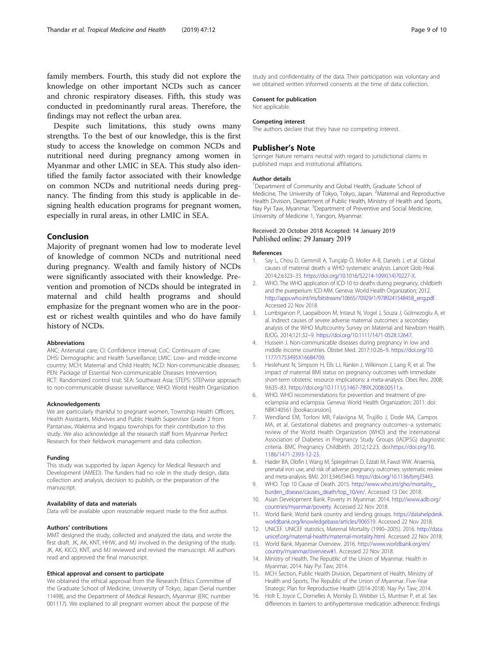<span id="page-8-0"></span>family members. Fourth, this study did not explore the knowledge on other important NCDs such as cancer and chronic respiratory diseases. Fifth, this study was conducted in predominantly rural areas. Therefore, the findings may not reflect the urban area.

Despite such limitations, this study owns many strengths. To the best of our knowledge, this is the first study to access the knowledge on common NCDs and nutritional need during pregnancy among women in Myanmar and other LMIC in SEA. This study also identified the family factor associated with their knowledge on common NCDs and nutritional needs during pregnancy. The finding from this study is applicable in designing health education programs for pregnant women, especially in rural areas, in other LMIC in SEA.

# Conclusion

Majority of pregnant women had low to moderate level of knowledge of common NCDs and nutritional need during pregnancy. Wealth and family history of NCDs were significantly associated with their knowledge. Prevention and promotion of NCDs should be integrated in maternal and child health programs and should emphasize for the pregnant women who are in the poorest or richest wealth quintiles and who do have family history of NCDs.

#### Abbreviations

ANC: Antenatal care; CI: Confidence interval; CoC: Continuum of care; DHS: Demographic and Health Surveillance; LMIC: Low- and middle-income country; MCH: Maternal and Child Health; NCD: Non-communicable diseases; PEN: Package of Essential Non-communicable Diseases Intervention; RCT: Randomized control trial; SEA: Southeast Asia; STEPS: STEPwise approach to non-communicable disease surveillance; WHO: World Health Organization

#### Acknowledgements

We are particularly thankful to pregnant women, Township Health Officers, Health Assistants, Midwives and Public Health Supervisor Grade 2 from Pantanaw, Wakema and Ingapu townships for their contribution to this study. We also acknowledge all the research staff from Myanmar Perfect Research for their fieldwork management and data collection.

#### Funding

This study was supported by Japan Agency for Medical Research and Development (AMED). The funders had no role in the study design, data collection and analysis, decision to publish, or the preparation of the manuscript.

#### Availability of data and materials

Data will be available upon reasonable request made to the first author.

#### Authors' contributions

MMT designed the study, collected and analyzed the data, and wrote the first draft. JK, AK, KNT, HHW, and MJ involved in the designing of the study. JK, AK, KICO, KNT, and MJ reviewed and revised the manuscript. All authors read and approved the final manuscript.

#### Ethical approval and consent to participate

We obtained the ethical approval from the Research Ethics Committee of the Graduate School of Medicine, University of Tokyo, Japan (Serial number 11498), and the Department of Medical Research, Myanmar (ERC number 001117). We explained to all pregnant women about the purpose of the

study and confidentiality of the data. Their participation was voluntary and we obtained written informed consents at the time of data collection.

#### Consent for publication

Not applicable.

#### Competing interest

The authors declare that they have no competing interest.

#### Publisher's Note

Springer Nature remains neutral with regard to jurisdictional claims in published maps and institutional affiliations.

#### Author details

<sup>1</sup>Department of Community and Global Health, Graduate School of Medicine, The University of Tokyo, Tokyo, Japan. <sup>2</sup>Maternal and Reproductive Health Division, Department of Public Health, Ministry of Health and Sports, Nay Pyi Taw, Myanmar. <sup>3</sup>Department of Preventive and Social Medicine University of Medicine 1, Yangon, Myanmar.

#### Received: 20 October 2018 Accepted: 14 January 2019 Published online: 29 January 2019

#### References

- 1. Say L, Chou D, Gemmill A, Tunçalp Ö, Moller A-B, Daniels J, et al. Global causes of maternal death: a WHO systematic analysis. Lancet Glob Heal. 2014;2:e323–33. [https://doi.org/10.1016/S2214-109X\(14\)70227-X](https://doi.org/10.1016/S2214-109X(14)70227-X).
- 2. WHO. The WHO application of ICD-10 to deaths during pregnancy, childbirth and the puerperium: ICD-MM. Geneva: World Health Organization; 2012. [http://apps.who.int/iris/bitstream/10665/70929/1/9789241548458\\_eng.pdf.](http://apps.who.int/iris/bitstream/10665/70929/1/9789241548458_eng.pdf) Accessed 22 Nov 2018.
- 3. Lumbiganon P, Laopaiboon M, Intarut N, Vogel J, Souza J, Gülmezoglu A, et al. Indirect causes of severe adverse maternal outcomes: a secondary analysis of the WHO Multicountry Survey on Maternal and Newborn Health. BJOG. 2014;121:32–9. <https://doi.org/10.1111/1471-0528.12647>.
- 4. Hussein J. Non-communicable diseases during pregnancy in low and middle income countries. Obstet Med. 2017;10:26–9. [https://doi.org/10.](https://doi.org/10.1177/1753495X16684709) [1177/1753495X16684709.](https://doi.org/10.1177/1753495X16684709)
- 5. Heslehurst N, Simpson H, Ells LJ, Rankin J, Wilkinson J, Lang R, et al. The impact of maternal BMI status on pregnancy outcomes with immediate short-term obstetric resource implications: a meta-analysis. Obes Rev. 2008; 9:635–83. <https://doi.org/10.1111/j.1467-789X.2008.00511.x>.
- 6. WHO. WHO recommendations for prevention and treatment of preeclampsia and eclampsia. Geneva: World Health Organization; 2011. doi: NBK140561 [bookaccession].
- 7. Wendland EM, Torloni MR, Falavigna M, Trujillo J, Dode MA, Campos MA, et al. Gestational diabetes and pregnancy outcomes--a systematic review of the World Health Organization (WHO) and the International Association of Diabetes in Pregnancy Study Groups (IADPSG) diagnostic criteria. BMC Pregnancy Childbirth. 2012;12:23. doi:[https://doi.org/10.](https://doi.org/10.1186/1471-2393-12-23) [1186/1471-2393-12-23.](https://doi.org/10.1186/1471-2393-12-23)
- 8. Haider BA, Olofin I, Wang M, Spiegelman D, Ezzati M, Fawzi WW. Anaemia, prenatal iron use, and risk of adverse pregnancy outcomes: systematic review and meta-analysis. BMJ. 2013;346:f3443. [https://doi.org/10.1136/bmj.f3443.](https://doi.org/10.1136/bmj.f3443)
- 9. WHO. Top 10 Cause of Death. 2015. [http://www.who.int/gho/mortality\\_](http://www.who.int/gho/mortality_burden_disease/causes_death/top_10/en) [burden\\_disease/causes\\_death/top\\_10/en/](http://www.who.int/gho/mortality_burden_disease/causes_death/top_10/en). Accessed 13 Dec 2018.
- 10. Asian Development Bank. Poverty in Myanmar. 2014. [http://www.adb.org/](http://www.adb.org/countries/myanmar/poverty) [countries/myanmar/poverty](http://www.adb.org/countries/myanmar/poverty). Accessed 22 Nov 2018.
- 11. World Bank. World bank country and lending groups. [https://datahelpdesk.](https://datahelpdesk.worldbank.org/knowledgebase/articles/906519) [worldbank.org/knowledgebase/articles/906519.](https://datahelpdesk.worldbank.org/knowledgebase/articles/906519) Accessed 22 Nov 2018.
- 12. UNICEF. UNICEF statistics, Maternal Mortality (1990–2005). 2016. [http://data.](http://data.unicef.org/maternal-health/maternal-mortality.html) [unicef.org/maternal-health/maternal-mortality.html.](http://data.unicef.org/maternal-health/maternal-mortality.html) Accessed 22 Nov 2018.
- 13. World Bank. Myanmar Overview. 2016. [http://www.worldbank.org/en/](http://www.worldbank.org/en/country/myanmar/overview#1) [country/myanmar/overview#1.](http://www.worldbank.org/en/country/myanmar/overview#1) Accessed 22 Nov 2018.
- 14. Ministry of Health, The Republic of the Union of Myanmar. Health in Myanmar, 2014. Nay Pyi Taw; 2014.
- 15. MCH Section, Public Health Division, Department of Health, Ministry of Health and Sports, The Republic of the Union of Myanmar. Five-Year Strategic Plan for Reproductive Health (2014-2018). Nay Pyi Taw; 2014.
- 16. Holt E, Joyce C, Dornelles A, Morisky D, Webber LS, Muntner P, et al. Sex differences in barriers to antihypertensive medication adherence: findings